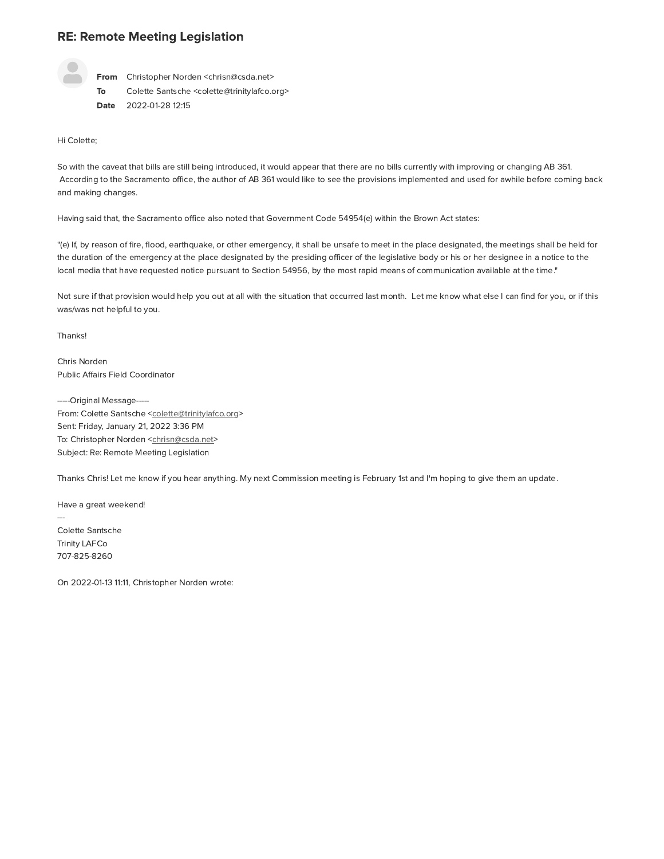## RE: Remote Meeting Legislation



From Christopher Norden <chrisn@csda.net> E: Remote Meeting Legislation<br>
From Christopher Norden <chrisn@csda.net><br>
To Colette Santsche <colette@trinitylafco.org><br>
Date 2022-01-28 12:15<br>
Colette;<br>
with the caveat that bills are still being introduced, it would<br>
co Date 2022-01-28 12:15

Hi Colette;

To Colette Santsche <colette@trinitylafco.org><br>
Date 2022-01-28 12:15<br>
Hi Colette;<br>
So with the caveat that bills are still being introduced, it would appear that there are no bills currently with improving or changing AB Date 2022-01-28 12:15<br>
Hi Colette;<br>
So with the caveat that bills are still being introduced, it would appear that there are no bills currently with improving or changing AB 361.<br>
According to the Sacramento office, the au and making changes. Hi Colette;<br>So with the caveat that bills are still being introduced, it would appear that there are no bills currently with improvin<br>According to the Sacramento office, the author of AB 361 would like to see the provision

"(e) If, by reason of fire, flood, earthquake, or other emergency, it shall be unsafe to meet in the place designated, the meetings shall be held for the duration of the emergency at the place designated by the presiding officer of the legislative body or his or her designee in a notice to the and making changes.<br>Having said that, the Sacramento office also noted that Government Code 54954(e) within the Brown Act states:<br>"(e) If, by reason of fire, flood, earthquake, or other emergency, it shall be unsafe to mee

Not sure if that provision would help you out at all with the situation that occurred last month. Let me know what else I can find for you, or if this was/was not helpful to you.

Thanks!

Chris Norden Public Affairs Field Coordinator

-----Original Message-----Thanks!<br>
Chris Norden<br>
Public Affairs Field Coordinator<br>
-----Original Message-----<br>
From: Colette Santsche <<u>colette@trinitylafco.org</u>><br>
Sent: Friday, January 21, 2022 3:36 PM<br>
To: Christopher Norden <<u>chrisn@csda.net</u>><br> Chris Norden<br>
Public Affairs Field Coordinator<br>
-----Original Message------<br>
From: Colette Santsche <<u>colette@trinitylafco.</u><br>
Sent: Friday, January 21, 2022 3:36 PM<br>
To: Christopher Norden <<u>chrisn@csda.net</u>><br>
Subject: Re: Public Affairs Field Coordinator<br>
-----Original Message-----<br>
From: Colette Santsche <<u>colette@trinitylafc</u><br>
Sent: Friday, January 21, 2022 3:36 PM<br>
To: Christopher Norden <<u>chrisn@csda.net</u>><br>
Subject: Re: Remote Meeting L

Thanks Chris! Let me know if you hear anything. My next Commission meeting is February 1st and I'm hoping to give them an update.

Have a great weekend!

... Subject: Re: Remote Meeting L<br>Thanks Chris! Let me know if your<br>Have a great weekend!<br>---<br>Colette Santsche<br>Trinity LAFCo<br>707-825-8260<br>On 2022-01-13 11:11, Christophe Trinity LAFCo 707-825-8260

On 2022-01-13 11:11, Christopher Norden wrote: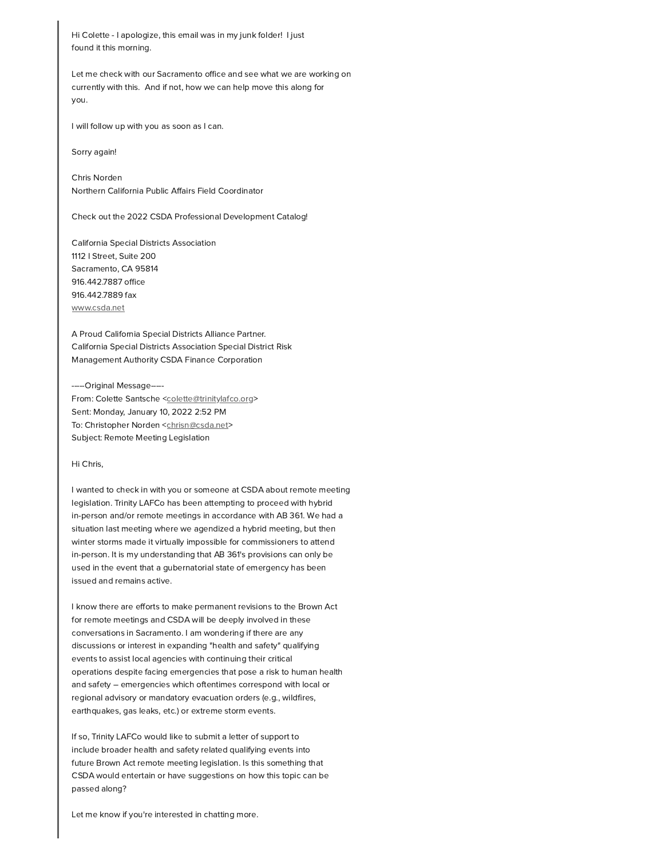Hi Colette - I apologize, this email was in my junk folder! I just found it this morning.

Let me check with our Sacramento office and see what we are working on currently with this. And if not, how we can help move this along for you.

I will follow up with you as soon as I can.

Sorry again!

Chris Norden Northern California Public Affairs Field Coordinator

Check out the 2022 CSDA Professional Development Catalog!

California Special Districts Association 1112 | Street, Suite 200 Sacramento, CA 95814 916.442.7887 office 916.442.7889 fax www.csda.net

A Proud California Special Districts Alliance Partner. California Special Districts Association Special District Risk Management Authority CSDA Finance Corporation

-----Original Message-----From: Colette Santsche <colette@trinitylafco.org> Sent: Monday, January 10, 2022 2:52 PM To: Christopher Norden <chrisn@csda.net> Subject: Remote Meeting Legislation

## Hi Chris,

I wanted to check in with you or someone at CSDA about remote meeting legislation. Trinity LAFCo has been attempting to proceed with hybrid in-person and/or remote meetings in accordance with AB 361. We had a situation last meeting where we agendized a hybrid meeting, but then winter storms made it virtually impossible for commissioners to attend in-person. It is my understanding that AB 361's provisions can only be used in the event that a gubernatorial state of emergency has been issued and remains active.

I know there are efforts to make permanent revisions to the Brown Act for remote meetings and CSDA will be deeply involved in these conversations in Sacramento. I am wondering if there are any discussions or interest in expanding "health and safety" qualifying events to assist local agencies with continuing their critical operations despite facing emergencies that pose a risk to human health and safety - emergencies which oftentimes correspond with local or regional advisory or mandatory evacuation orders (e.g., wildfires, earthquakes, gas leaks, etc.) or extreme storm events.

If so, Trinity LAFCo would like to submit a letter of support to include broader health and safety related qualifying events into future Brown Act remote meeting legislation. Is this something that CSDA would entertain or have suggestions on how this topic can be passed along?

Let me know if you're interested in chatting more.